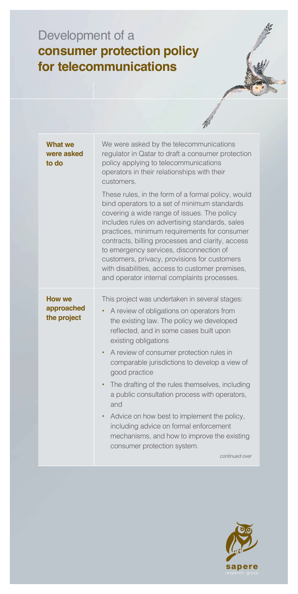## Development of a **consumer protection policy for telecommunications**